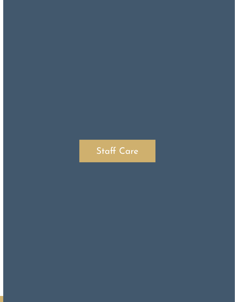### Staff Care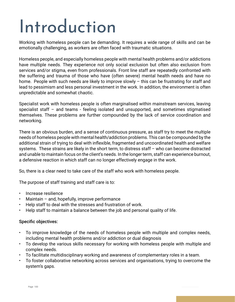# Introduction

Working with homeless people can be demanding. It requires a wide range of skills and can be emotionally challenging, as workers are often faced with traumatic situations.

Homeless people, and especially homeless people with mental health problems and/or addictions have multiple needs. They experience not only social exclusion but often also exclusion from services and/or stigma, even from professionals. Front line staff are repeatedly confronted with the suffering and trauma of those who have (often severe) mental health needs and have no home. People with such needs are likely to improve slowly – this can be frustrating for staff and lead to pessimism and less personal investment in the work. In addition, the environment is often unpredictable and somewhat chaotic.

Specialist work with homeless people is often marginalised within mainstream services, leaving specialist staff – and teams - feeling isolated and unsupported, and sometimes stigmatised themselves. These problems are further compounded by the lack of service coordination and networking.

There is an obvious burden, and a sense of continuous pressure, as staff try to meet the multiple needs of homeless people with mental health/addiction problems. This can be compounded by the additional strain of trying to deal with inflexible, fragmented and uncoordinated health and welfare systems. These strains are likely in the short term, to distress staff – who can become distracted and unable to maintain focus on the client's needs. In the longer term, staff can experience burnout, a defensive reaction in which staff can no longer effectively engage in the work.

So, there is a clear need to take care of the staff who work with homeless people.

The purpose of staff training and staff care is to:

- Increase resilience
- Maintain  $-$  and, hopefully, improve performance
- Help staff to deal with the stresses and frustration of work.
- Help staff to maintain a balance between the job and personal quality of life.

#### Specific objectives:

- To improve knowledge of the needs of homeless people with multiple and complex needs, including mental health problems and/or addiction or dual diagnosis
- To develop the various skills necessary for working with homeless people with multiple and complex needs.
- To facilitate multidisciplinary working and awareness of complementary roles in a team.
- To foster collaborative networking across services and organisations, trying to overcome the system's gaps.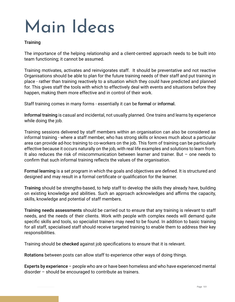# Main Ideas

#### **Training**

The importance of the helping relationship and a client-centred approach needs to be built into team functioning; it cannot be assumed.

Training motivates, activates and reinvigorates staff. It should be preventative and not reactive Organisations should be able to plan for the future training needs of their staff and put training in place - rather than training reactively to a situation which they could have predicted and planned for. This gives staff the tools with which to effectively deal with events and situations before they happen, making them more effective and in control of their work.

Staff training comes in many forms - essentially it can be formal or informal.

Informal training is casual and incidental, not usually planned. One trains and learns by experience while doing the job.

Training sessions delivered by staff members within an organisation can also be considered as informal training - where a staff member, who has strong skills or knows much about a particular area can provide ad-hoc training to co-workers on the job. This form of training can be particularly effective because it occurs naturally on the job, with real life examples and solutions to learn from. It also reduces the risk of miscommunication between learner and trainer. But – one needs to confirm that such informal training reflects the values of the organisation.

Formal learning is a set program in which the goals and objectives are defined. It is structured and designed and may result in a formal certificate or qualification for the learner.

Training should be strengths-based, to help staff to develop the skills they already have, building on existing knowledge and abilities. Such an approach acknowledges and affirms the capacity, skills, knowledge and potential of staff members.

Training needs assessments should be carried out to ensure that any training is relevant to staff needs, and the needs of their clients. Work with people with complex needs will demand quite specific skills and tools, so specialist trainers may need to be found. In addition to basic training for all staff, specialised staff should receive targeted training to enable them to address their key responsibilities.

Training should be checked against job specifications to ensure that it is relevant.

Rotations between posts can allow staff to experience other ways of doing things.

Experts by experience – people who are or have been homeless and who have experienced mental disorder – should be encouraged to contribute as trainers.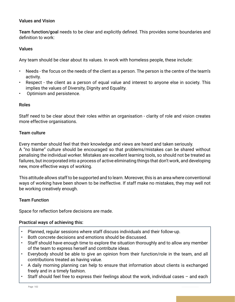#### Values and Vision

Team function/goal needs to be clear and explicitly defined. This provides some boundaries and definition to work:

#### Values

Any team should be clear about its values. In work with homeless people, these include:

- Needs the focus on the needs of the client as a person. The person is the centre of the team's activity.
- Respect the client as a person of equal value and interest to anyone else in society. This implies the values of Diversity, Dignity and Equality.
- Optimism and persistence.

#### Roles

Staff need to be clear about their roles within an organisation - clarity of role and vision creates more effective organisations.

#### Team culture

Every member should feel that their knowledge and views are heard and taken seriously. A "no blame" culture should be encouraged so that problems/mistakes can be shared without penalising the individual worker. Mistakes are excellent learning tools, so should not be treated as failures, but incorporated into a process of active eliminating things that don't work, and developing new, more effective ways of working.

This attitude allows staff to be supported and to learn. Moreover, this is an area where conventional ways of working have been shown to be ineffective. If staff make no mistakes, they may well not be working creatively enough.

#### Team Function

Space for reflection before decisions are made.

#### Practical ways of achieving this:

- Planned, regular sessions where staff discuss individuals and their follow-up.
- Both concrete decisions and emotions should be discussed.
- Staff should have enough time to explore the situation thoroughly and to allow any member of the team to express herself and contribute ideas.
- Everybody should be able to give an opinion from their function/role in the team, and all contributions treated as having value.
- A daily morning planning can help to ensure that information about clients is exchanged freely and in a timely fashion.
- Staff should feel free to express their feelings about the work, individual cases and each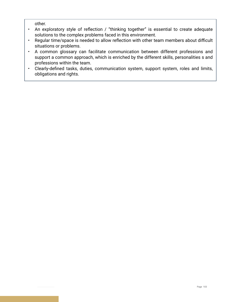other.

- An exploratory style of reflection / "thinking together" is essential to create adequate solutions to the complex problems faced in this environment.
- Regular time/space is needed to allow reflection with other team members about difficult situations or problems.
- A common glossary can facilitate communication between different professions and support a common approach, which is enriched by the different skills, personalities s and professions within the team.
- Clearly-defined tasks, duties, communication system, support system, roles and limits, obligations and rights.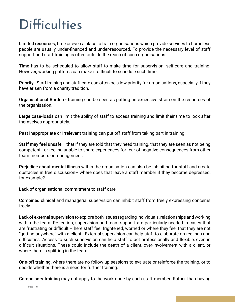### **Difficulties**

Limited resources, time or even a place to train organisations which provide services to homeless people are usually under-financed and under-resourced. To provide the necessary level of staff support and staff training is often outside the reach of such organisations.

Time has to be scheduled to allow staff to make time for supervision, self-care and training. However, working patterns can make it difficult to schedule such time.

Priority - Staff training and staff care can often be a low priority for organisations, especially if they have arisen from a charity tradition.

Organisational Burden - training can be seen as putting an excessive strain on the resources of the organisation.

Large case-loads can limit the ability of staff to access training and limit their time to look after themselves appropriately.

Past inappropriate or irrelevant training can put off staff from taking part in training.

Staff may feel unsafe – that if they are told that they need training, that they are seen as not being competent - or feeling unable to share experiences for fear of negative consequences from other team members or management.

Prejudice about mental illness within the organisation can also be inhibiting for staff and create obstacles in free discussion– where does that leave a staff member if they become depressed, for example?

Lack of organisational commitment to staff care.

Combined clinical and managerial supervision can inhibit staff from freely expressing concerns freely.

Lack of external supervision to explore both issues regarding individuals, relationships and working within the team. Reflection, supervision and team support are particularly needed in cases that are frustrating or difficult – here staff feel frightened, worried or where they feel that they are not "getting anywhere" with a client. External supervision can help staff to elaborate on feelings and difficulties. Access to such supervision can help staff to act professionally and flexible, even in difficult situations. These could include the death of a client, over-involvement with a client, or where there is splitting in the team.

One-off training, where there are no follow-up sessions to evaluate or reinforce the training, or to decide whether there is a need for further training.

Compulsory training may not apply to the work done by each staff member. Rather than having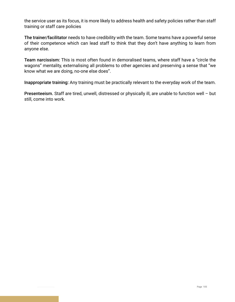the service user as its focus, it is more likely to address health and safety policies rather than staff training or staff care policies

The trainer/facilitator needs to have credibility with the team. Some teams have a powerful sense of their competence which can lead staff to think that they don't have anything to learn from anyone else.

Team narcissism: This is most often found in demoralised teams, where staff have a "circle the wagons" mentality, externalising all problems to other agencies and preserving a sense that "we know what we are doing, no-one else does".

Inappropriate training: Any training must be practically relevant to the everyday work of the team.

Presenteeism. Staff are tired, unwell, distressed or physically ill, are unable to function well – but still, come into work.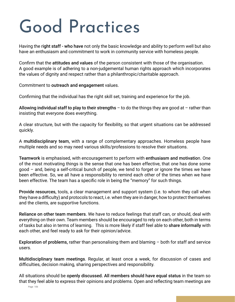# Good Practices

Having the right staff - who have not only the basic knowledge and ability to perform well but also have an enthusiasm and commitment to work in community service with homeless people.

Confirm that the attitudes and values of the person consistent with those of the organisation. A good example is of adhering to a non-judgemental human rights approach which incorporates the values of dignity and respect rather than a philanthropic/charitable approach.

Commitment to outreach and engagement values.

Confirming that the individual has the right skill set, training and experience for the job.

Allowing individual staff to play to their strengths  $-$  to do the things they are good at  $-$  rather than insisting that everyone does everything.

A clear structure, but with the capacity for flexibility, so that urgent situations can be addressed quickly.

A multidisciplinary team, with a range of complementary approaches. Homeless people have multiple needs and so may need various skills/professions to resolve their situations.

Teamwork is emphasised, with encouragement to perform with enthusiasm and motivation. One of the most motivating things is the sense that one has been effective, that one has done some good – and, being a self-critical bunch of people, we tend to forget or ignore the times we have been effective. So, we all have a responsibility to remind each other of the times when we have been effective. The team has a specific role in being the "memory" for such things.

Provide resources, tools, a clear management and support system (i.e. to whom they call when they have a difficulty) and protocols to react, i.e. when they are in danger, how to protect themselves and the clients, are supportive functions.

Reliance on other team members. We have to reduce feelings that staff can, or should, deal with everything on their own. Team members should be encouraged to rely on each other, both in terms of tasks but also in terms of learning. This is more likely if staff feel able to share informally with each other, and feel ready to ask for their opinion/advice.

Exploration of problems, rather than personalising them and blaming – both for staff and service users.

Multidisciplinary team meetings. Regular, at least once a week, for discussion of cases and difficulties, decision making, sharing perspectives and responsibility.

All situations should be openly discussed. All members should have equal status in the team so that they feel able to express their opinions and problems. Open and reflecting team meetings are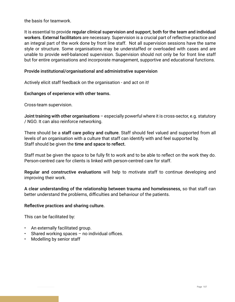the basis for teamwork.

It is essential to provide regular clinical supervision and support, both for the team and individual workers. External facilitators are necessary. Supervision is a crucial part of reflective practice and an integral part of the work done by front line staff. Not all supervision sessions have the same style or structure. Some organisations may be understaffed or overloaded with cases and are unable to provide well-balanced supervision. Supervision should not only be for front line staff but for entire organisations and incorporate management, supportive and educational functions.

#### Provide institutional/organisational and administrative supervision

Actively elicit staff feedback on the organisation - and act on it!

#### Exchanges of experience with other teams.

Cross-team supervision.

Joint training with other organisations – especially powerful where it is cross-sector, e.g. statutory / NGO. It can also reinforce networking.

There should be a staff care policy and culture. Staff should feel valued and supported from all levels of an organisation with a culture that staff can identify with and feel supported by. Staff should be given the time and space to reflect.

Staff must be given the space to be fully fit to work and to be able to reflect on the work they do. Person-centred care for clients is linked with person-centred care for staff.

Regular and constructive evaluations will help to motivate staff to continue developing and improving their work.

A clear understanding of the relationship between trauma and homelessness, so that staff can better understand the problems, difficulties and behaviour of the patients.

#### Reflective practices and sharing culture.

This can be facilitated by:

- An externally facilitated group.
- Shared working spaces  $-$  no individual offices.
- Modelling by senior staff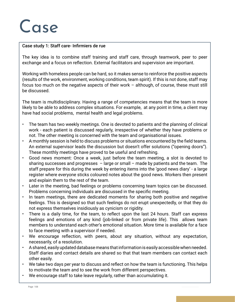### Case

#### Case study 1: Staff care- Infirmiers de rue

The key idea is to combine staff training and staff care, through teamwork, peer to peer exchange and a focus on reflection. External facilitators and supervision are important.

Working with homeless people can be hard, so it makes sense to reinforce the positive aspects (results of the work, environment, working conditions, team spirit). If this is not done, staff may focus too much on the negative aspects of their work – although, of course, these must still be discussed.

The team is multidisciplinary. Having a range of competencies means that the team is more likely to be able to address complex situations. For example, at any point in time, a client may have had social problems, mental health and legal problems.

- The team has two weekly meetings. One is devoted to patients and the planning of clinical work - each patient is discussed regularly, irrespective of whether they have problems or not. The other meeting is concerned with the team and organisational issues.
- A monthly session is held to discuss problems or situations encountered by the field teams. An external supervisor leads the discussion but doesn't offer solutions ("opening doors"). These monthly meetings have proved to be useful and refreshing.
- Good news moment: Once a week, just before the team meeting, a slot is devoted to sharing successes and progresses  $-$  large or small – made by patients and the team. The staff prepare for this during the week by entering items into the 'good news diary' - a large register where everyone sticks coloured notes about the good news. Workers then present and explain them to the rest of the team.
- Later in the meeting, bad feelings or problems concerning team topics can be discussed. Problems concerning individuals are discussed in the specific meeting.
- In team meetings, there are dedicated moments for sharing both positive and negative feelings. This is designed so that such feelings do not erupt unexpectedly, or that they do not express themselves insidiously as cynicism or rigidity.
- There is a daily time, for the team, to reflect upon the last 24 hours. Staff can express feelings and emotions of any kind (job-linked or from private life). This allows team members to understand each other's emotional situation. More time is available for a face to face meeting with a supervisor if needed.
- We encourage reflection, with peers, about any situation, without any expectation, necessarily, of a resolution.
- A shared, easily updated database means that information is easily accessible when needed. Staff diaries and contact details are shared so that that team members can contact each other easily.
- We take two days per year to discuss and reflect on how the team is functioning. This helps to motivate the team and to see the work from different perspectives.
- We encourage staff to take leave regularly, rather than accumulating it.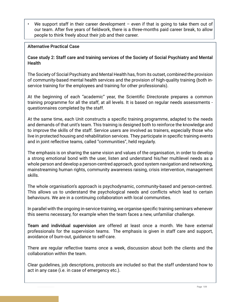We support staff in their career development – even if that is going to take them out of our team. After five years of fieldwork, there is a three-months paid career break, to allow people to think freely about their job and their career.

#### Alternative Practical Case

Case study 2: Staff care and training services of the Society of Social Psychiatry and Mental **Health** 

The Society of Social Psychiatry and Mental Health has, from its outset, combined the provision of community-based mental health services and the provision of high-quality training (both inservice training for the employees and training for other professionals).

At the beginning of each "academic" year, the Scientific Directorate prepares a common training programme for all the staff, at all levels. It is based on regular needs assessments questionnaires completed by the staff.

At the same time, each Unit constructs a specific training programme, adapted to the needs and demands of that unit's team. This training is designed both to reinforce the knowledge and to improve the skills of the staff. Service users are involved as trainers, especially those who live in protected housing and rehabilitation services. They participate in specific training events and in joint reflective teams, called "communities", held regularly.

The emphasis is on sharing the same vision and values of the organisation, in order to develop a strong emotional bond with the user, listen and understand his/her multilevel needs as a whole person and develop a person-centred approach, good system navigation and networking, mainstreaming human rights, community awareness raising, crisis intervention, management skills.

The whole organisation's approach is psychodynamic, community-based and person-centred. This allows us to understand the psychological needs and conflicts which lead to certain behaviours. We are in a continuing collaboration with local communities.

In parallel with the ongoing in-service-training, we organise specific training seminars whenever this seems necessary, for example when the team faces a new, unfamiliar challenge.

Team and individual supervision are offered at least once a month. We have external professionals for the supervision teams. The emphasis is given in staff care and support, avoidance of burn-out, guidance to self-care.

There are regular reflective teams once a week, discussion about both the clients and the collaboration within the team.

Clear guidelines, job descriptions, protocols are included so that the staff understand how to act in any case (i.e. in case of emergency etc.).